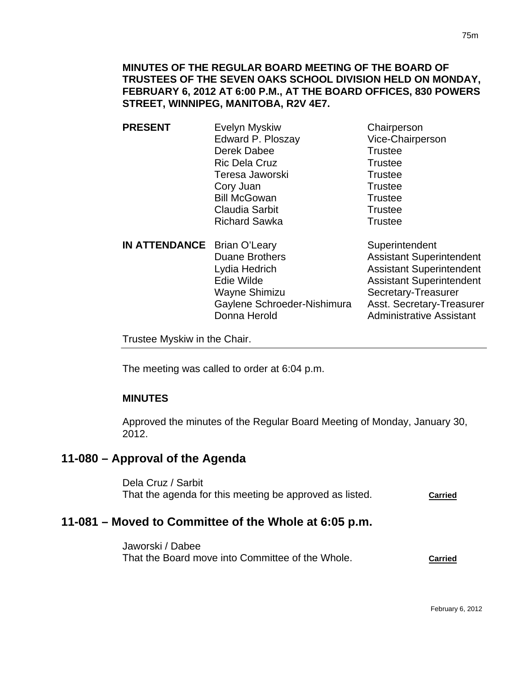## **MINUTES OF THE REGULAR BOARD MEETING OF THE BOARD OF TRUSTEES OF THE SEVEN OAKS SCHOOL DIVISION HELD ON MONDAY, FEBRUARY 6, 2012 AT 6:00 P.M., AT THE BOARD OFFICES, 830 POWERS STREET, WINNIPEG, MANITOBA, R2V 4E7.**

- **PRESENT** Evelyn Myskiw Chairperson Edward P. Ploszay Vice-Chairperson Derek Dabee Trustee Ric Dela Cruz Trustee Teresa Jaworski **Trustee** Cory Juan Trustee Bill McGowan Trustee Claudia Sarbit **Trustee** Richard Sawka Trustee
- **IN ATTENDANCE** Brian O'Leary Superintendent Duane Brothers **Assistant Superintendent** Lydia Hedrich **Assistant Superintendent** Edie Wilde **Assistant Superintendent** Wayne Shimizu Secretary-Treasurer Gaylene Schroeder-Nishimura Asst. Secretary-Treasurer Donna Herold **Administrative Assistant**

Trustee Myskiw in the Chair.

The meeting was called to order at 6:04 p.m.

## **MINUTES**

Approved the minutes of the Regular Board Meeting of Monday, January 30, 2012.

## **11-080 – Approval of the Agenda**

Dela Cruz / Sarbit That the agenda for this meeting be approved as listed. **Carried**

## **11-081 – Moved to Committee of the Whole at 6:05 p.m.**

Jaworski / Dabee That the Board move into Committee of the Whole. **Carried**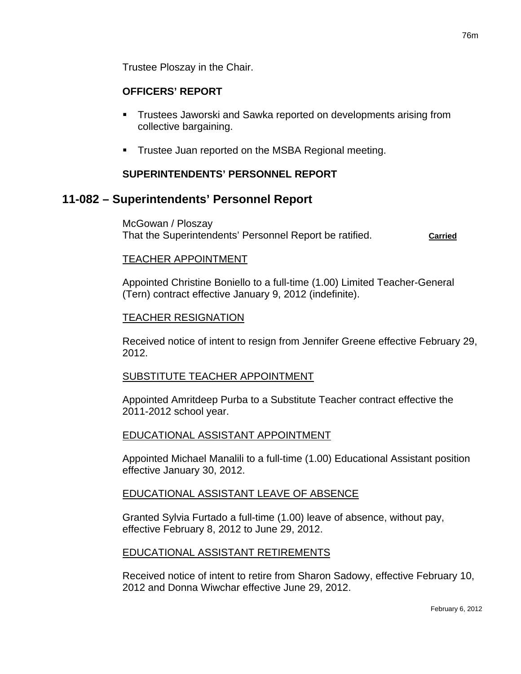Trustee Ploszay in the Chair.

#### **OFFICERS' REPORT**

- Trustees Jaworski and Sawka reported on developments arising from collective bargaining.
- **Trustee Juan reported on the MSBA Regional meeting.**

#### **SUPERINTENDENTS' PERSONNEL REPORT**

## **11-082 – Superintendents' Personnel Report**

McGowan / Ploszay That the Superintendents' Personnel Report be ratified. **Carried**

#### TEACHER APPOINTMENT

Appointed Christine Boniello to a full-time (1.00) Limited Teacher-General (Tern) contract effective January 9, 2012 (indefinite).

#### TEACHER RESIGNATION

Received notice of intent to resign from Jennifer Greene effective February 29, 2012.

#### SUBSTITUTE TEACHER APPOINTMENT

Appointed Amritdeep Purba to a Substitute Teacher contract effective the 2011-2012 school year.

#### EDUCATIONAL ASSISTANT APPOINTMENT

Appointed Michael Manalili to a full-time (1.00) Educational Assistant position effective January 30, 2012.

#### EDUCATIONAL ASSISTANT LEAVE OF ABSENCE

Granted Sylvia Furtado a full-time (1.00) leave of absence, without pay, effective February 8, 2012 to June 29, 2012.

#### EDUCATIONAL ASSISTANT RETIREMENTS

Received notice of intent to retire from Sharon Sadowy, effective February 10, 2012 and Donna Wiwchar effective June 29, 2012.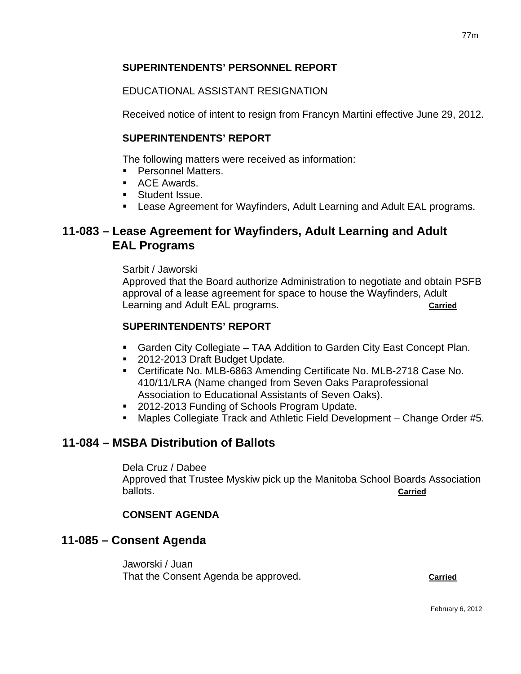## **SUPERINTENDENTS' PERSONNEL REPORT**

## EDUCATIONAL ASSISTANT RESIGNATION

Received notice of intent to resign from Francyn Martini effective June 29, 2012.

## **SUPERINTENDENTS' REPORT**

The following matters were received as information:

- **Personnel Matters.**
- **ACE Awards.**
- **Student Issue.**
- Lease Agreement for Wayfinders, Adult Learning and Adult EAL programs.

# **11-083 – Lease Agreement for Wayfinders, Adult Learning and Adult EAL Programs**

Sarbit / Jaworski

Approved that the Board authorize Administration to negotiate and obtain PSFB approval of a lease agreement for space to house the Wayfinders, Adult Learning and Adult EAL programs. **Carried**

## **SUPERINTENDENTS' REPORT**

- Garden City Collegiate TAA Addition to Garden City East Concept Plan.
- 2012-2013 Draft Budget Update.
- Certificate No. MLB-6863 Amending Certificate No. MLB-2718 Case No. 410/11/LRA (Name changed from Seven Oaks Paraprofessional Association to Educational Assistants of Seven Oaks).
- 2012-2013 Funding of Schools Program Update.
- Maples Collegiate Track and Athletic Field Development Change Order #5.

## **11-084 – MSBA Distribution of Ballots**

Dela Cruz / Dabee Approved that Trustee Myskiw pick up the Manitoba School Boards Association ballots. **Carried**

## **CONSENT AGENDA**

## **11-085 – Consent Agenda**

Jaworski / Juan That the Consent Agenda be approved. **Carried**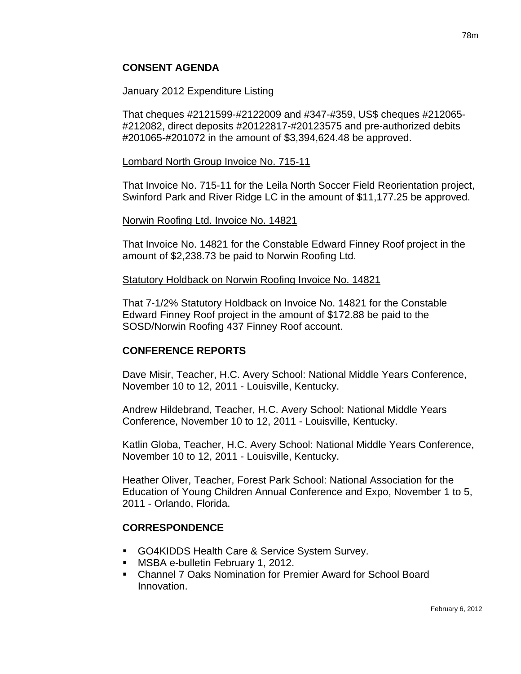## **CONSENT AGENDA**

#### January 2012 Expenditure Listing

That cheques #2121599-#2122009 and #347-#359, US\$ cheques #212065- #212082, direct deposits #20122817-#20123575 and pre-authorized debits #201065-#201072 in the amount of \$3,394,624.48 be approved.

#### Lombard North Group Invoice No. 715-11

That Invoice No. 715-11 for the Leila North Soccer Field Reorientation project, Swinford Park and River Ridge LC in the amount of \$11,177.25 be approved.

#### Norwin Roofing Ltd. Invoice No. 14821

That Invoice No. 14821 for the Constable Edward Finney Roof project in the amount of \$2,238.73 be paid to Norwin Roofing Ltd.

#### Statutory Holdback on Norwin Roofing Invoice No. 14821

That 7-1/2% Statutory Holdback on Invoice No. 14821 for the Constable Edward Finney Roof project in the amount of \$172.88 be paid to the SOSD/Norwin Roofing 437 Finney Roof account.

## **CONFERENCE REPORTS**

Dave Misir, Teacher, H.C. Avery School: National Middle Years Conference, November 10 to 12, 2011 - Louisville, Kentucky.

Andrew Hildebrand, Teacher, H.C. Avery School: National Middle Years Conference, November 10 to 12, 2011 - Louisville, Kentucky.

Katlin Globa, Teacher, H.C. Avery School: National Middle Years Conference, November 10 to 12, 2011 - Louisville, Kentucky.

Heather Oliver, Teacher, Forest Park School: National Association for the Education of Young Children Annual Conference and Expo, November 1 to 5, 2011 - Orlando, Florida.

## **CORRESPONDENCE**

- GO4KIDDS Health Care & Service System Survey.
- **MSBA e-bulletin February 1, 2012.**
- Channel 7 Oaks Nomination for Premier Award for School Board Innovation.